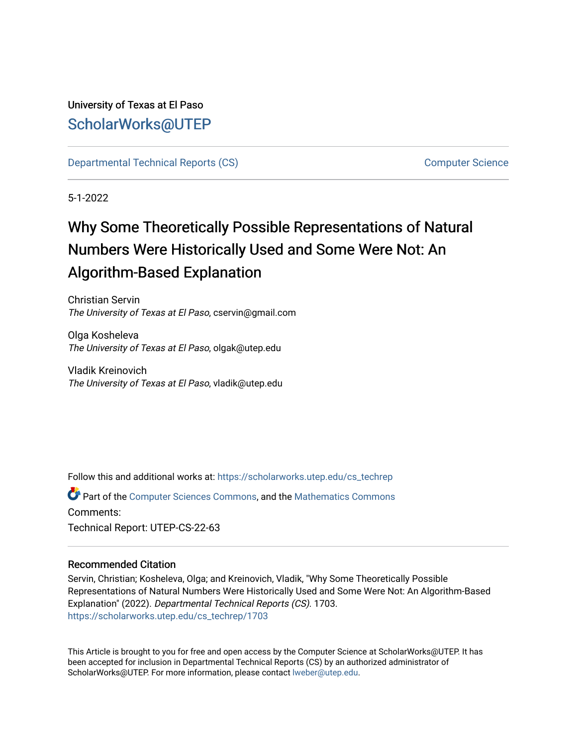University of Texas at El Paso [ScholarWorks@UTEP](https://scholarworks.utep.edu/)

[Departmental Technical Reports \(CS\)](https://scholarworks.utep.edu/cs_techrep) [Computer Science](https://scholarworks.utep.edu/computer) 

5-1-2022

# Why Some Theoretically Possible Representations of Natural Numbers Were Historically Used and Some Were Not: An Algorithm-Based Explanation

Christian Servin The University of Texas at El Paso, cservin@gmail.com

Olga Kosheleva The University of Texas at El Paso, olgak@utep.edu

Vladik Kreinovich The University of Texas at El Paso, vladik@utep.edu

Follow this and additional works at: [https://scholarworks.utep.edu/cs\\_techrep](https://scholarworks.utep.edu/cs_techrep?utm_source=scholarworks.utep.edu%2Fcs_techrep%2F1703&utm_medium=PDF&utm_campaign=PDFCoverPages) 

Part of the [Computer Sciences Commons](https://network.bepress.com/hgg/discipline/142?utm_source=scholarworks.utep.edu%2Fcs_techrep%2F1703&utm_medium=PDF&utm_campaign=PDFCoverPages), and the [Mathematics Commons](https://network.bepress.com/hgg/discipline/174?utm_source=scholarworks.utep.edu%2Fcs_techrep%2F1703&utm_medium=PDF&utm_campaign=PDFCoverPages)  Comments: Technical Report: UTEP-CS-22-63

### Recommended Citation

Servin, Christian; Kosheleva, Olga; and Kreinovich, Vladik, "Why Some Theoretically Possible Representations of Natural Numbers Were Historically Used and Some Were Not: An Algorithm-Based Explanation" (2022). Departmental Technical Reports (CS). 1703. [https://scholarworks.utep.edu/cs\\_techrep/1703](https://scholarworks.utep.edu/cs_techrep/1703?utm_source=scholarworks.utep.edu%2Fcs_techrep%2F1703&utm_medium=PDF&utm_campaign=PDFCoverPages) 

This Article is brought to you for free and open access by the Computer Science at ScholarWorks@UTEP. It has been accepted for inclusion in Departmental Technical Reports (CS) by an authorized administrator of ScholarWorks@UTEP. For more information, please contact [lweber@utep.edu](mailto:lweber@utep.edu).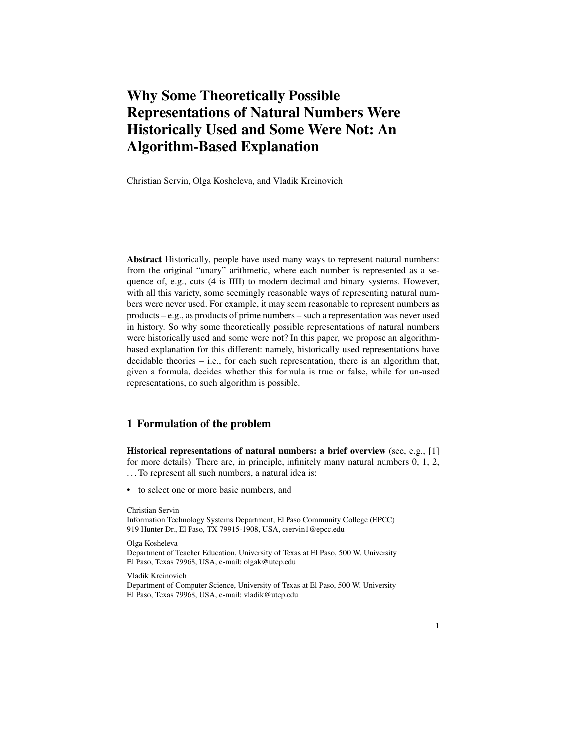# Why Some Theoretically Possible Representations of Natural Numbers Were Historically Used and Some Were Not: An Algorithm-Based Explanation

Christian Servin, Olga Kosheleva, and Vladik Kreinovich

Abstract Historically, people have used many ways to represent natural numbers: from the original "unary" arithmetic, where each number is represented as a sequence of, e.g., cuts (4 is IIII) to modern decimal and binary systems. However, with all this variety, some seemingly reasonable ways of representing natural numbers were never used. For example, it may seem reasonable to represent numbers as products – e.g., as products of prime numbers – such a representation was never used in history. So why some theoretically possible representations of natural numbers were historically used and some were not? In this paper, we propose an algorithmbased explanation for this different: namely, historically used representations have decidable theories  $-$  i.e., for each such representation, there is an algorithm that, given a formula, decides whether this formula is true or false, while for un-used representations, no such algorithm is possible.

#### 1 Formulation of the problem

Historical representations of natural numbers: a brief overview (see, e.g., [1] for more details). There are, in principle, infinitely many natural numbers 0, 1, 2, . . . To represent all such numbers, a natural idea is:

• to select one or more basic numbers, and

Christian Servin

Information Technology Systems Department, El Paso Community College (EPCC) 919 Hunter Dr., El Paso, TX 79915-1908, USA, cservin1@epcc.edu

Olga Kosheleva

Department of Teacher Education, University of Texas at El Paso, 500 W. University El Paso, Texas 79968, USA, e-mail: olgak@utep.edu

Vladik Kreinovich

Department of Computer Science, University of Texas at El Paso, 500 W. University El Paso, Texas 79968, USA, e-mail: vladik@utep.edu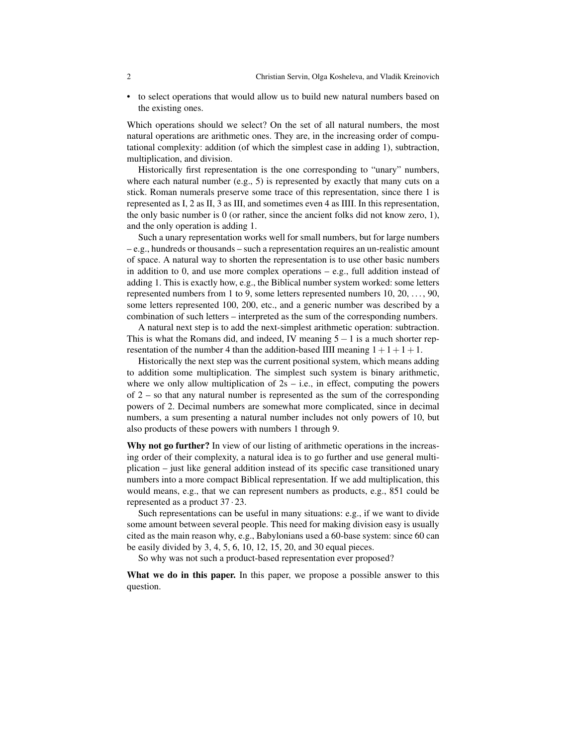• to select operations that would allow us to build new natural numbers based on the existing ones.

Which operations should we select? On the set of all natural numbers, the most natural operations are arithmetic ones. They are, in the increasing order of computational complexity: addition (of which the simplest case in adding 1), subtraction, multiplication, and division.

Historically first representation is the one corresponding to "unary" numbers, where each natural number  $(e.g., 5)$  is represented by exactly that many cuts on a stick. Roman numerals preserve some trace of this representation, since there 1 is represented as I, 2 as II, 3 as III, and sometimes even 4 as IIII. In this representation, the only basic number is 0 (or rather, since the ancient folks did not know zero, 1), and the only operation is adding 1.

Such a unary representation works well for small numbers, but for large numbers – e.g., hundreds or thousands – such a representation requires an un-realistic amount of space. A natural way to shorten the representation is to use other basic numbers in addition to 0, and use more complex operations – e.g., full addition instead of adding 1. This is exactly how, e.g., the Biblical number system worked: some letters represented numbers from 1 to 9, some letters represented numbers 10, 20, . . . , 90, some letters represented 100, 200, etc., and a generic number was described by a combination of such letters – interpreted as the sum of the corresponding numbers.

A natural next step is to add the next-simplest arithmetic operation: subtraction. This is what the Romans did, and indeed, IV meaning  $5-1$  is a much shorter representation of the number 4 than the addition-based IIII meaning  $1+1+1+1$ .

Historically the next step was the current positional system, which means adding to addition some multiplication. The simplest such system is binary arithmetic, where we only allow multiplication of  $2s - i.e.,$  in effect, computing the powers of 2 – so that any natural number is represented as the sum of the corresponding powers of 2. Decimal numbers are somewhat more complicated, since in decimal numbers, a sum presenting a natural number includes not only powers of 10, but also products of these powers with numbers 1 through 9.

Why not go further? In view of our listing of arithmetic operations in the increasing order of their complexity, a natural idea is to go further and use general multiplication – just like general addition instead of its specific case transitioned unary numbers into a more compact Biblical representation. If we add multiplication, this would means, e.g., that we can represent numbers as products, e.g., 851 could be represented as a product 37 · 23.

Such representations can be useful in many situations: e.g., if we want to divide some amount between several people. This need for making division easy is usually cited as the main reason why, e.g., Babylonians used a 60-base system: since 60 can be easily divided by 3, 4, 5, 6, 10, 12, 15, 20, and 30 equal pieces.

So why was not such a product-based representation ever proposed?

What we do in this paper. In this paper, we propose a possible answer to this question.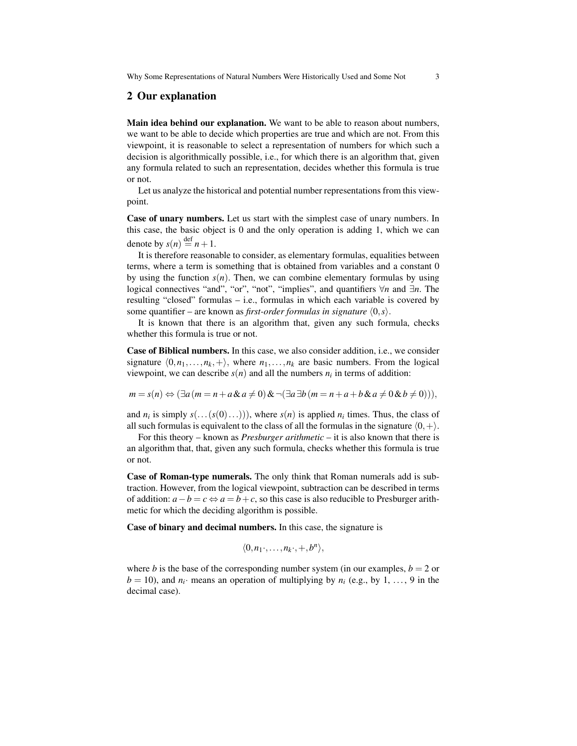#### 2 Our explanation

Main idea behind our explanation. We want to be able to reason about numbers, we want to be able to decide which properties are true and which are not. From this viewpoint, it is reasonable to select a representation of numbers for which such a decision is algorithmically possible, i.e., for which there is an algorithm that, given any formula related to such an representation, decides whether this formula is true or not.

Let us analyze the historical and potential number representations from this viewpoint.

Case of unary numbers. Let us start with the simplest case of unary numbers. In this case, the basic object is 0 and the only operation is adding 1, which we can denote by  $s(n) \stackrel{\text{def}}{=} n+1$ .

It is therefore reasonable to consider, as elementary formulas, equalities between terms, where a term is something that is obtained from variables and a constant 0 by using the function  $s(n)$ . Then, we can combine elementary formulas by using logical connectives "and", "or", "not", "implies", and quantifiers ∀*n* and ∃*n*. The resulting "closed" formulas – i.e., formulas in which each variable is covered by some quantifier – are known as *first-order formulas in signature* ⟨0,*s*⟩.

It is known that there is an algorithm that, given any such formula, checks whether this formula is true or not.

Case of Biblical numbers. In this case, we also consider addition, i.e., we consider signature  $\langle 0, n_1, \ldots, n_k, + \rangle$ , where  $n_1, \ldots, n_k$  are basic numbers. From the logical viewpoint, we can describe  $s(n)$  and all the numbers  $n_i$  in terms of addition:

$$
m = s(n) \Leftrightarrow (\exists a (m = n + a \& a \neq 0) \& \neg (\exists a \exists b (m = n + a + b \& a \neq 0 \& b \neq 0))),
$$

and  $n_i$  is simply  $s(...(s(0)...)))$ , where  $s(n)$  is applied  $n_i$  times. Thus, the class of all such formulas is equivalent to the class of all the formulas in the signature  $(0,+)$ .

For this theory – known as *Presburger arithmetic* – it is also known that there is an algorithm that, that, given any such formula, checks whether this formula is true or not.

Case of Roman-type numerals. The only think that Roman numerals add is subtraction. However, from the logical viewpoint, subtraction can be described in terms of addition:  $a - b = c \Leftrightarrow a = b + c$ , so this case is also reducible to Presburger arithmetic for which the deciding algorithm is possible.

Case of binary and decimal numbers. In this case, the signature is

$$
\langle 0, n_1\cdot,\ldots,n_k\cdot,+,b^n\rangle,
$$

where *b* is the base of the corresponding number system (in our examples,  $b = 2$  or  $b = 10$ ), and  $n_i$  means an operation of multiplying by  $n_i$  (e.g., by 1, ..., 9 in the decimal case).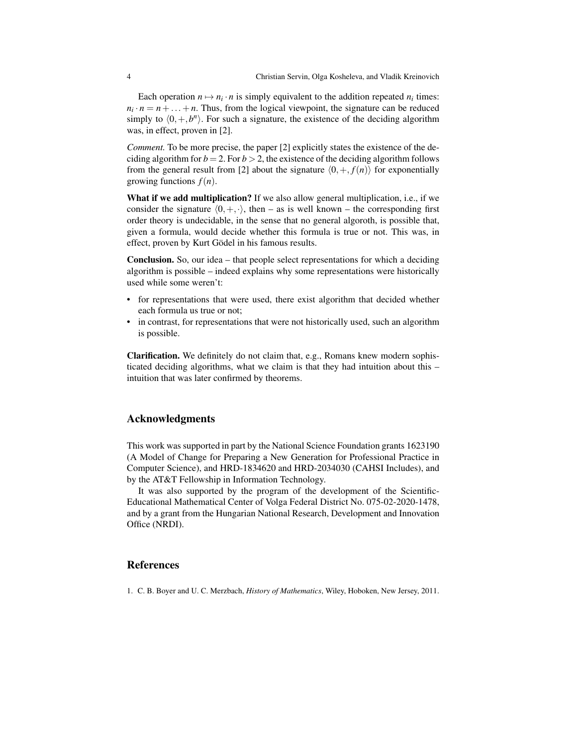Each operation  $n \mapsto n_i \cdot n$  is simply equivalent to the addition repeated  $n_i$  times:  $n_i \cdot n = n + \ldots + n$ . Thus, from the logical viewpoint, the signature can be reduced simply to  $\langle 0, +, b^n \rangle$ . For such a signature, the existence of the deciding algorithm was, in effect, proven in [2].

*Comment*. To be more precise, the paper [2] explicitly states the existence of the deciding algorithm for  $b = 2$ . For  $b > 2$ , the existence of the deciding algorithm follows from the general result from [2] about the signature  $\langle 0, +, f(n) \rangle$  for exponentially growing functions  $f(n)$ .

What if we add multiplication? If we also allow general multiplication, i.e., if we consider the signature  $(0, +, \cdot)$ , then – as is well known – the corresponding first order theory is undecidable, in the sense that no general algoroth, is possible that, given a formula, would decide whether this formula is true or not. This was, in effect, proven by Kurt Gödel in his famous results.

Conclusion. So, our idea – that people select representations for which a deciding algorithm is possible – indeed explains why some representations were historically used while some weren't:

- for representations that were used, there exist algorithm that decided whether each formula us true or not;
- in contrast, for representations that were not historically used, such an algorithm is possible.

Clarification. We definitely do not claim that, e.g., Romans knew modern sophisticated deciding algorithms, what we claim is that they had intuition about this – intuition that was later confirmed by theorems.

## Acknowledgments

This work was supported in part by the National Science Foundation grants 1623190 (A Model of Change for Preparing a New Generation for Professional Practice in Computer Science), and HRD-1834620 and HRD-2034030 (CAHSI Includes), and by the AT&T Fellowship in Information Technology.

It was also supported by the program of the development of the Scientific-Educational Mathematical Center of Volga Federal District No. 075-02-2020-1478, and by a grant from the Hungarian National Research, Development and Innovation Office (NRDI).

#### **References**

1. C. B. Boyer and U. C. Merzbach, *History of Mathematics*, Wiley, Hoboken, New Jersey, 2011.